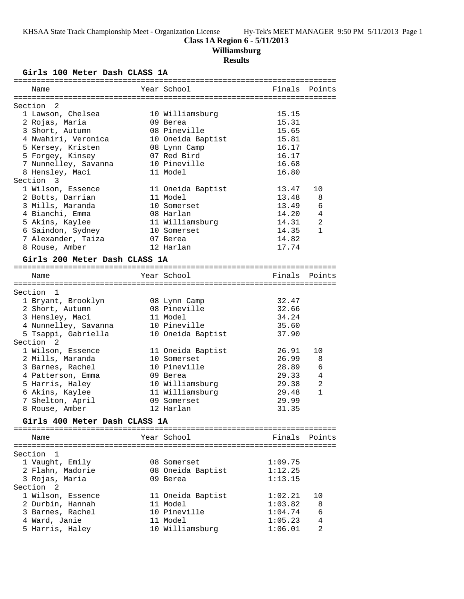#### **Class 1A Region 6 - 5/11/2013**

**Williamsburg**

### **Results**

### **Girls 100 Meter Dash CLASS 1A**

| Name                                            | Year School                    | Finals  | Points         |
|-------------------------------------------------|--------------------------------|---------|----------------|
|                                                 |                                |         |                |
| Section<br>2                                    |                                |         |                |
| 1 Lawson, Chelsea                               | 10 Williamsburg                | 15.15   |                |
| 2 Rojas, Maria                                  | 09 Berea                       | 15.31   |                |
| 3 Short, Autumn                                 | 08 Pineville                   | 15.65   |                |
| 4 Nwahiri, Veronica                             | 10 Oneida Baptist              | 15.81   |                |
| 5 Kersey, Kristen                               | 08 Lynn Camp                   | 16.17   |                |
| 5 Forgey, Kinsey                                | 07 Red Bird                    | 16.17   |                |
| 7 Nunnelley, Savanna                            | 10 Pineville                   | 16.68   |                |
| 8 Hensley, Maci                                 | 11 Model                       | 16.80   |                |
| Section 3                                       |                                |         |                |
| 1 Wilson, Essence                               | 11 Oneida Baptist              | 13.47   | 10             |
| 2 Botts, Darrian                                | 11 Model                       | 13.48   | 8              |
| 3 Mills, Maranda                                | 10 Somerset                    | 13.49   | 6              |
| 4 Bianchi, Emma                                 | 08 Harlan                      | 14.20   | $\overline{4}$ |
| 5 Akins, Kaylee                                 | 11 Williamsburg                | 14.31   | 2              |
|                                                 |                                | 14.35   | $\mathbf{1}$   |
| 6 Saindon, Sydney                               | 10 Somerset                    |         |                |
| 7 Alexander, Taiza                              | 07 Berea                       | 14.82   |                |
| 8 Rouse, Amber                                  | 12 Harlan                      | 17.74   |                |
| Girls 200 Meter Dash CLASS 1A                   |                                |         |                |
|                                                 | Year School                    |         |                |
| Name                                            |                                | Finals  | Points         |
|                                                 |                                |         |                |
| Section 1                                       |                                |         |                |
| 1 Bryant, Brooklyn                              | 08 Lynn Camp                   | 32.47   |                |
|                                                 |                                |         |                |
| 2 Short, Autumn                                 | 08 Pineville                   | 32.66   |                |
| 3 Hensley, Maci                                 | 11 Model                       | 34.24   |                |
| 4 Nunnelley, Savanna                            | 10 Pineville                   | 35.60   |                |
| 5 Tsappi, Gabriella                             | 10 Oneida Baptist              | 37.90   |                |
| Section <sub>2</sub>                            |                                |         |                |
| 1 Wilson, Essence                               | 11 Oneida Baptist              | 26.91   | 10             |
| 2 Mills, Maranda                                | 10 Somerset                    | 26.99   | 8              |
| 3 Barnes, Rachel                                | 10 Pineville                   | 28.89   | 6              |
| 4 Patterson, Emma                               | 09 Berea                       | 29.33   | 4              |
| 5 Harris, Haley                                 | 10 Williamsburg                | 29.38   | 2              |
|                                                 |                                | 29.48   | $\mathbf{1}$   |
| 6 Akins, Kaylee                                 | 11 Williamsburg<br>09 Somerset | 29.99   |                |
| 7 Shelton, April                                | 12 Harlan                      | 31.35   |                |
| 8 Rouse, Amber<br>Girls 400 Meter Dash CLASS 1A |                                |         |                |
|                                                 |                                |         |                |
| Name                                            | Year School                    | Finals  | Points         |
|                                                 |                                |         |                |
| Section 1                                       |                                |         |                |
| 1 Vaught, Emily                                 | 08 Somerset                    | 1:09.75 |                |
| 2 Flahn, Madorie                                | 08 Oneida Baptist              | 1:12.25 |                |
| 3 Rojas, Maria                                  | 09 Berea                       | 1:13.15 |                |
| Section 2                                       |                                |         |                |
| 1 Wilson, Essence                               | 11 Oneida Baptist              | 1:02.21 | 10             |
| 2 Durbin, Hannah                                | 11 Model                       | 1:03.82 | 8              |
| 3 Barnes, Rachel                                | 10 Pineville                   | 1:04.74 | 6              |
| 4 Ward, Janie                                   | 11 Model                       | 1:05.23 | 4              |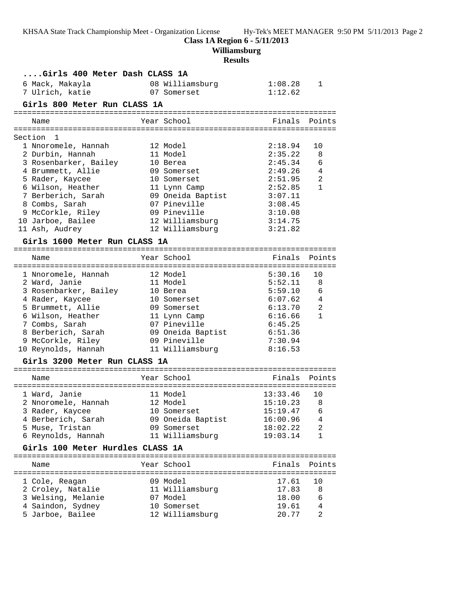**Class 1A Region 6 - 5/11/2013**

**Williamsburg**

## **Results**

| Girls 400 Meter Dash CLASS 1A    |  |                   |                     |              |  |
|----------------------------------|--|-------------------|---------------------|--------------|--|
| 6 Mack, Makayla                  |  | 08 Williamsburg   | 1:08.28             | 1            |  |
| 7 Ulrich, katie                  |  | 07 Somerset       | 1:12.62             |              |  |
| Girls 800 Meter Run CLASS 1A     |  |                   |                     |              |  |
|                                  |  |                   |                     |              |  |
| Name                             |  | Year School       | Finals              | Points       |  |
|                                  |  |                   |                     |              |  |
| Section<br>1                     |  |                   |                     |              |  |
| 1 Nnoromele, Hannah              |  | 12 Model          | 2:18.94             | 10           |  |
| 2 Durbin, Hannah                 |  | 11 Model          | 2:35.22             | 8            |  |
| 3 Rosenbarker, Bailey            |  | 10 Berea          | 2:45.34             | 6            |  |
| 4 Brummett, Allie                |  | 09 Somerset       | 2:49.26             | 4            |  |
| 5 Rader, Kaycee                  |  | 10 Somerset       | 2:51.95             | 2            |  |
| 6 Wilson, Heather                |  | 11 Lynn Camp      | 2:52.85             | $\mathbf{1}$ |  |
| 7 Berberich, Sarah               |  | 09 Oneida Baptist | 3:07.11             |              |  |
| 8 Combs, Sarah                   |  | 07 Pineville      | 3:08.45             |              |  |
| 9 McCorkle, Riley                |  | 09 Pineville      | 3:10.08             |              |  |
| 10 Jarboe, Bailee                |  | 12 Williamsburg   | 3:14.75             |              |  |
| 11 Ash, Audrey                   |  | 12 Williamsburg   | 3:21.82             |              |  |
| Girls 1600 Meter Run CLASS 1A    |  |                   |                     |              |  |
|                                  |  |                   |                     |              |  |
| Name                             |  | Year School       | Finals              | Points       |  |
|                                  |  |                   |                     |              |  |
| 1 Nnoromele, Hannah              |  | 12 Model          | 5:30.16             | 10           |  |
| 2 Ward, Janie                    |  | 11 Model          | 5:52.11             | 8            |  |
| 3 Rosenbarker, Bailey            |  | 10 Berea          | 5:59.10             | 6            |  |
| 4 Rader, Kaycee                  |  | 10 Somerset       | 6:07.62             | 4            |  |
| 5 Brummett, Allie                |  | 09 Somerset       | 6:13.70             | 2            |  |
| 6 Wilson, Heather                |  | 11 Lynn Camp      | 6:16.66             | 1            |  |
| 7 Combs, Sarah                   |  | 07 Pineville      | 6:45.25             |              |  |
| 8 Berberich, Sarah               |  | 09 Oneida Baptist | 6:51.36             |              |  |
| 9 McCorkle, Riley                |  | 09 Pineville      | 7:30.94             |              |  |
| 10 Reynolds, Hannah              |  | 11 Williamsburg   | 8:16.53             |              |  |
| Girls 3200 Meter Run CLASS 1A    |  |                   |                     |              |  |
|                                  |  |                   |                     |              |  |
| Name                             |  | Year School       | Finals              | Points       |  |
|                                  |  |                   | =================== |              |  |
| 1 Ward, Janie                    |  | 11 Model          | 13:33.46            | 10           |  |
| 2 Nnoromele, Hannah              |  | 12 Model          | 15:10.23            | 8            |  |
| 3 Rader, Kaycee                  |  | 10 Somerset       | 15:19.47            | 6            |  |
| 4 Berberich, Sarah               |  | 09 Oneida Baptist | 16:00.96            | 4            |  |
| 5 Muse, Tristan                  |  | 09 Somerset       | 18:02.22            | 2            |  |
| 6 Reynolds, Hannah               |  | 11 Williamsburg   | 19:03.14            | 1            |  |
| Girls 100 Meter Hurdles CLASS 1A |  |                   |                     |              |  |
|                                  |  |                   |                     | -------      |  |
| Name                             |  | Year School       | Finals              | Points       |  |
|                                  |  |                   |                     |              |  |
| 1 Cole, Reagan                   |  | 09 Model          | 17.61               | 10           |  |
| 2 Croley, Natalie                |  | 11 Williamsburg   | 17.83               | 8            |  |
| 3 Welsing, Melanie               |  | 07 Model          | 18.00               | 6            |  |
| 4 Saindon, Sydney                |  | 10 Somerset       | 19.61               | 4            |  |
| 5 Jarboe, Bailee                 |  | 12 Williamsburg   | 20.77               | 2            |  |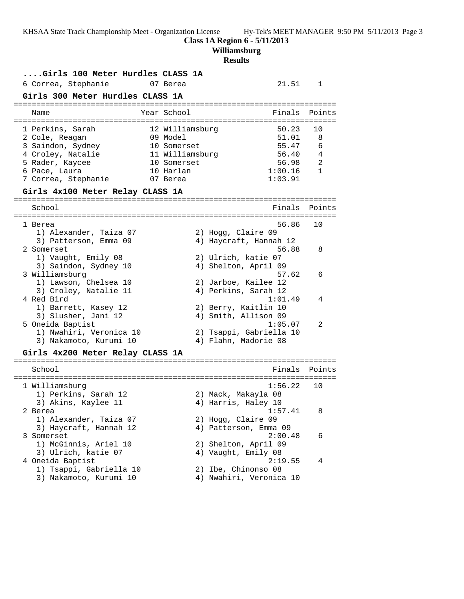**Class 1A Region 6 - 5/11/2013**

**Williamsburg**

## **Results**

| Girls 100 Meter Hurdles CLASS 1A            |                    |    |                                                 |              |
|---------------------------------------------|--------------------|----|-------------------------------------------------|--------------|
| 6 Correa, Stephanie                         | 07 Berea           |    | 21.51                                           | 1            |
| Girls 300 Meter Hurdles CLASS 1A            |                    |    |                                                 |              |
| Name                                        | Year School        |    | Finals                                          | Points       |
| 1 Perkins, Sarah                            | 12 Williamsburg    |    | 50.23                                           | 10           |
| 2 Cole, Reagan                              | 09 Model           |    | 51.01                                           | 8            |
| 3 Saindon, Sydney                           | 10 Somerset        |    | 55.47                                           | 6            |
| 4 Croley, Natalie                           | 11 Williamsburg    |    | 56.40                                           | 4            |
| 5 Rader, Kaycee                             | 10 Somerset        |    | 56.98                                           | 2            |
| 6 Pace, Laura                               | 10 Harlan          |    | 1:00.16                                         | $\mathbf{1}$ |
| 7 Correa, Stephanie                         | 07 Berea           |    | 1:03.91                                         |              |
| Girls 4x100 Meter Relay CLASS 1A            |                    |    |                                                 |              |
| School                                      |                    |    | Finals                                          | Points       |
|                                             |                    |    |                                                 |              |
| 1 Berea                                     |                    |    | 56.86                                           | 10           |
| 1) Alexander, Taiza 07                      |                    |    | 2) Hogg, Claire 09                              |              |
| 3) Patterson, Emma 09                       |                    |    | 4) Haycraft, Hannah 12                          |              |
| 2 Somerset                                  |                    |    | 56.88                                           | 8            |
| 1) Vaught, Emily 08                         |                    |    | 2) Ulrich, katie 07                             |              |
| 3) Saindon, Sydney 10                       |                    |    | 4) Shelton, April 09                            |              |
| 3 Williamsburg                              |                    |    | 57.62                                           | 6            |
| 1) Lawson, Chelsea 10                       |                    |    | 2) Jarboe, Kailee 12                            |              |
| 3) Croley, Natalie 11                       |                    |    | 4) Perkins, Sarah 12                            |              |
| 4 Red Bird                                  |                    |    | 1:01.49                                         | 4            |
| 1) Barrett, Kasey 12                        |                    |    | 2) Berry, Kaitlin 10                            |              |
| 3) Slusher, Jani 12                         |                    |    | 4) Smith, Allison 09                            |              |
| 5 Oneida Baptist<br>1) Nwahiri, Veronica 10 |                    |    | 1:05.07                                         | 2            |
| 3) Nakamoto, Kurumi 10                      |                    |    | 2) Tsappi, Gabriella 10<br>4) Flahn, Madorie 08 |              |
|                                             |                    |    |                                                 |              |
| Girls 4x200 Meter Relay CLASS 1A            |                    |    |                                                 |              |
| School                                      | ================== |    | Finals<br>:===========                          | Points       |
| 1 Williamsburg                              |                    |    | 1:56.22                                         | 10           |
| 1) Perkins, Sarah 12                        |                    |    | 2) Mack, Makayla 08                             |              |
| 3) Akins, Kaylee 11                         |                    |    | 4) Harris, Haley 10                             |              |
| 2 Berea                                     |                    |    | 1:57.41                                         | 8            |
| 1) Alexander, Taiza 07                      |                    |    | 2) Hogg, Claire 09                              |              |
| 3) Haycraft, Hannah 12                      |                    |    | 4) Patterson, Emma 09                           |              |
| 3 Somerset                                  |                    |    | 2:00.48                                         | 6            |
| 1) McGinnis, Ariel 10                       |                    |    | 2) Shelton, April 09                            |              |
| 3) Ulrich, katie 07                         |                    |    | 4) Vaught, Emily 08                             |              |
| 4 Oneida Baptist                            |                    |    | 2:19.55                                         | 4            |
| 1) Tsappi, Gabriella 10                     |                    | 2) | Ibe, Chinonso 08                                |              |
| 3) Nakamoto, Kurumi 10                      |                    |    | 4) Nwahiri, Veronica 10                         |              |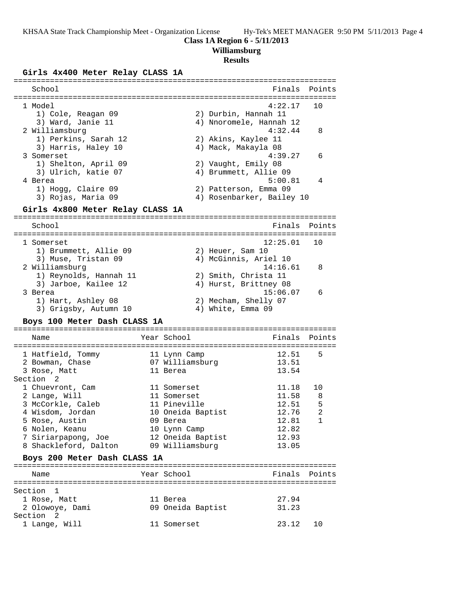#### **Class 1A Region 6 - 5/11/2013**

### **Williamsburg**

## **Results**

### **Girls 4x400 Meter Relay CLASS 1A**

| School                              |                   | Finals                             | Points         |
|-------------------------------------|-------------------|------------------------------------|----------------|
|                                     |                   |                                    |                |
| 1 Model                             |                   | 4:22.17                            | 10             |
| 1) Cole, Reagan 09                  |                   | 2) Durbin, Hannah 11               |                |
| 3) Ward, Janie 11<br>2 Williamsburg |                   | 4) Nnoromele, Hannah 12<br>4:32.44 | 8              |
| 1) Perkins, Sarah 12                |                   | 2) Akins, Kaylee 11                |                |
| 3) Harris, Haley 10                 |                   | 4) Mack, Makayla 08                |                |
| 3 Somerset                          |                   | 4:39.27                            | 6              |
| 1) Shelton, April 09                |                   | 2) Vaught, Emily 08                |                |
| 3) Ulrich, katie 07                 |                   | 4) Brummett, Allie 09              |                |
| 4 Berea                             |                   | 5:00.81                            | 4              |
| 1) Hogg, Claire 09                  |                   | 2) Patterson, Emma 09              |                |
| 3) Rojas, Maria 09                  |                   | 4) Rosenbarker, Bailey 10          |                |
| Girls 4x800 Meter Relay CLASS 1A    |                   |                                    |                |
| School                              |                   | Finals                             | Points         |
|                                     |                   |                                    |                |
| 1 Somerset                          |                   | 12:25.01                           | 10             |
| 1) Brummett, Allie 09               |                   | 2) Heuer, Sam 10                   |                |
| 3) Muse, Tristan 09                 |                   | 4) McGinnis, Ariel 10              |                |
| 2 Williamsburg                      |                   | 14:16.61                           | 8              |
| 1) Reynolds, Hannah 11              |                   | 2) Smith, Christa 11               |                |
| 3) Jarboe, Kailee 12                |                   | 4) Hurst, Brittney 08              |                |
| 3 Berea                             |                   | 15:06.07                           | 6              |
| 1) Hart, Ashley 08                  |                   | 2) Mecham, Shelly 07               |                |
| 3) Grigsby, Autumn 10               |                   | 4) White, Emma 09                  |                |
| Boys 100 Meter Dash CLASS 1A        |                   |                                    |                |
| Name                                | Year School       | Finals                             | Points         |
|                                     |                   |                                    |                |
| 1 Hatfield, Tommy                   | 11 Lynn Camp      | 12.51                              | 5              |
| 2 Bowman, Chase                     | 07 Williamsburg   | 13.51                              |                |
| 3 Rose, Matt                        | 11 Berea          | 13.54                              |                |
| Section 2                           |                   |                                    |                |
| 1 Chuevront, Cam                    | 11 Somerset       | 11.18                              | 10             |
| 2 Lange, Will                       | 11 Somerset       | 11.58                              | 8              |
| 3 McCorkle, Caleb                   | 11 Pineville      | 12.51                              | 5              |
| 4 Wisdom, Jordan                    | 10 Oneida Baptist | 12.76                              | $\overline{2}$ |
| 5 Rose, Austin                      | 09 Berea          | 12.81                              | 1              |
| 6 Nolen, Keanu                      | 10 Lynn Camp      | 12.82                              |                |
| 7 Siriarpapong, Joe                 | 12 Oneida Baptist | 12.93                              |                |
| 8 Shackleford, Dalton               | 09 Williamsburg   | 13.05                              |                |
| Boys 200 Meter Dash CLASS 1A        |                   |                                    |                |
| Name                                | Year School       | Finals                             | Points         |
| Section<br>1                        |                   |                                    |                |
| 1 Rose, Matt                        | 11 Berea          | 27.94                              |                |
| 2 Olowoye, Dami                     | 09 Oneida Baptist | 31.23                              |                |
| Section 2                           |                   |                                    |                |
| 1 Lange, Will                       | 11 Somerset       | 23.12                              | 10             |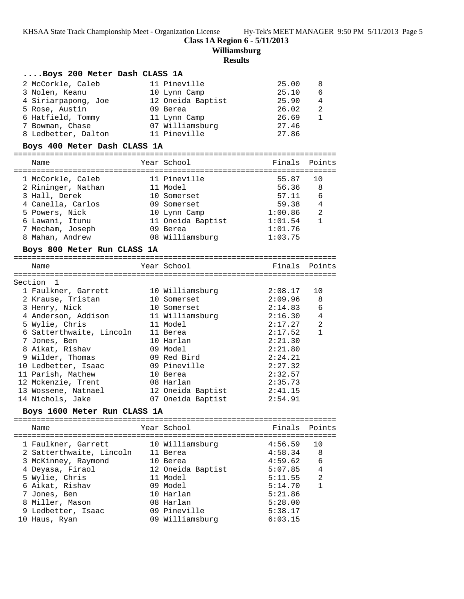**Class 1A Region 6 - 5/11/2013**

**Williamsburg**

#### **Results**

#### **....Boys 200 Meter Dash CLASS 1A**

| 2 McCorkle, Caleb   | 11 Pineville      | 25.00 | -8           |
|---------------------|-------------------|-------|--------------|
| 3 Nolen, Keanu      | 10 Lynn Camp      | 25.10 | - 6          |
| 4 Siriarpapong, Joe | 12 Oneida Baptist | 25.90 | 4            |
| 5 Rose, Austin      | 09 Berea          | 26.02 | -2           |
| 6 Hatfield, Tommy   | 11 Lynn Camp      | 26.69 | $\mathbf{1}$ |
| 7 Bowman, Chase     | 07 Williamsburg   | 27.46 |              |
| 8 Ledbetter, Dalton | 11 Pineville      | 27.86 |              |
|                     |                   |       |              |

#### **Boys 400 Meter Dash CLASS 1A**

# =======================================================================

| Name               | Year School       | Finals Points |                |
|--------------------|-------------------|---------------|----------------|
|                    |                   |               |                |
| 1 McCorkle, Caleb  | 11 Pineville      | 55.87         | 10             |
| 2 Rininger, Nathan | 11 Model          | 56.36         | -8             |
| 3 Hall, Derek      | 10 Somerset       | 57.11         | 6              |
| 4 Canella, Carlos  | 09 Somerset       | 59.38         | $\overline{4}$ |
| 5 Powers, Nick     | 10 Lynn Camp      | 1:00.86       | 2              |
| 6 Lawani, Itunu    | 11 Oneida Baptist | 1:01.54       |                |
| 7 Mecham, Joseph   | 09 Berea          | 1:01.76       |                |
| 8 Mahan, Andrew    | 08 Williamsburg   | 1:03.75       |                |

#### **Boys 800 Meter Run CLASS 1A**

| boys ove needs nun chino in |                 |               |                |
|-----------------------------|-----------------|---------------|----------------|
| Name                        | Year School     | Finals Points |                |
| Section 1                   |                 |               |                |
| 1 Faulkner, Garrett         | 10 Williamsburg | 2:08.17       | 10             |
| 2 Krause, Tristan           | 10 Somerset     | 2:09.96       | - 8            |
| 3 Henry, Nick               | 10 Somerset     | 2:14.83       | 6              |
| 4 Anderson, Addison         | 11 Williamsburg | 2:16.30       | $\overline{4}$ |
| 5 Wylie, Chris              | 11 Model        | 2:17.27       | $\mathfrak{D}$ |
| 6 Satterthwaite, Lincoln    | 11 Berea        | 2:17.52       |                |
| 7 Jones, Ben                | 10 Harlan       | 2:21.30       |                |
| 8 Aikat, Rishav             | 09 Model        | 2:21.80       |                |
| 9 Wilder, Thomas            | 09 Red Bird     | 2:24.21       |                |
| 10 Ledbetter, Isaac         | 09 Pineville    | 2:27.32       |                |
| 11 Parish, Mathew           | 10 Berea        | 2:32.57       |                |

 12 Mckenzie, Trent 08 Harlan 2:35.73 13 Wossene, Natnael 12 Oneida Baptist 2:41.15

## 14 Nichols, Jake 07 Oneida Baptist 2:54.91

### **Boys 1600 Meter Run CLASS 1A**

|  | Name                     | Year School       | Finals Points |                |
|--|--------------------------|-------------------|---------------|----------------|
|  | 1 Faulkner, Garrett      | 10 Williamsburg   | 4:56.59       | 10             |
|  | 2 Satterthwaite, Lincoln | 11 Berea          | 4:58.34       | - 8            |
|  | 3 McKinney, Raymond      | 10 Berea          | 4:59.62       | - 6            |
|  | 4 Deyasa, Firaol         | 12 Oneida Baptist | 5:07.85       | $\overline{4}$ |
|  | 5 Wylie, Chris           | 11 Model          | 5:11.55       | $\mathfrak{D}$ |
|  | 6 Aikat, Rishav          | 09 Model          | 5:14.70       |                |
|  | 7 Jones, Ben             | 10 Harlan         | 5:21.86       |                |
|  | 8 Miller, Mason          | 08 Harlan         | 5:28.00       |                |
|  | 9 Ledbetter, Isaac       | 09 Pineville      | 5:38.17       |                |
|  | 10 Haus, Ryan            | 09 Williamsburg   | 6:03.15       |                |
|  |                          |                   |               |                |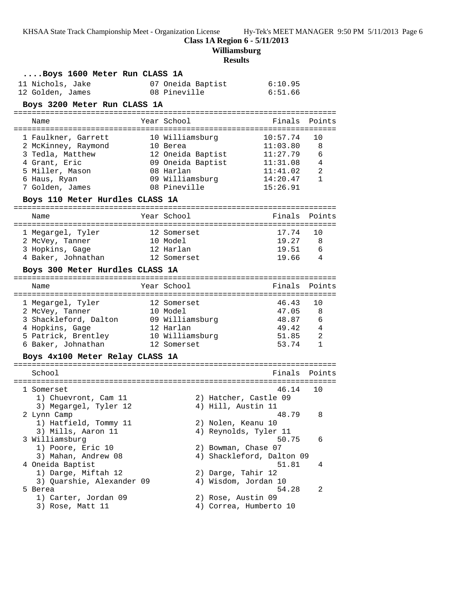**Class 1A Region 6 - 5/11/2013**

**Williamsburg**

## **Results**

| Boys 1600 Meter Run CLASS 1A<br>11 Nichols, Jake<br>12 Golden, James<br>Boys 3200 Meter Run CLASS 1A                                                                     | 07 Oneida Baptist<br>08 Pineville                                                                                     | 6:10.95<br>6:51.66                                                               |                                          |
|--------------------------------------------------------------------------------------------------------------------------------------------------------------------------|-----------------------------------------------------------------------------------------------------------------------|----------------------------------------------------------------------------------|------------------------------------------|
| Name                                                                                                                                                                     | Year School                                                                                                           | Finals                                                                           | Points                                   |
| 1 Faulkner, Garrett<br>2 McKinney, Raymond<br>3 Tedla, Matthew<br>4 Grant, Eric<br>5 Miller, Mason<br>6 Haus, Ryan<br>7 Golden, James<br>Boys 110 Meter Hurdles CLASS 1A | 10 Williamsburg<br>10 Berea<br>12 Oneida Baptist<br>09 Oneida Baptist<br>08 Harlan<br>09 Williamsburg<br>08 Pineville | 10:57.74<br>11:03.80<br>11:27.79<br>11:31.08<br>11:41.02<br>14:20.47<br>15:26.91 | 10<br>8<br>6<br>$\overline{4}$<br>2<br>1 |
| Name                                                                                                                                                                     | Year School                                                                                                           | Finals                                                                           | Points                                   |
| 1 Megargel, Tyler<br>2 McVey, Tanner<br>3 Hopkins, Gage<br>4 Baker, Johnathan                                                                                            | 12 Somerset<br>10 Model<br>12 Harlan<br>12 Somerset                                                                   | 17.74<br>19.27<br>19.51<br>19.66 4                                               | 10<br>8<br>- 6                           |
| Boys 300 Meter Hurdles CLASS 1A                                                                                                                                          |                                                                                                                       |                                                                                  |                                          |
| Name                                                                                                                                                                     | Year School                                                                                                           | Finals                                                                           | Points                                   |
| 1 Megargel, Tyler<br>2 McVey, Tanner<br>3 Shackleford, Dalton 09 Williamsburg<br>4 Hopkins, Gage<br>5 Patrick, Brentley<br>6 Baker, Johnathan                            | 12 Somerset<br>10 Model<br>12 Harlan<br>10 Williamsburg<br>12 Somerset                                                | 46.43<br>47.05<br>48.87<br>$49.42$ $4$<br>$51.85$ 2<br>53.74                     | 10<br>8<br>6<br>$\mathbf{1}$             |
| Boys 4x100 Meter Relay CLASS 1A                                                                                                                                          |                                                                                                                       |                                                                                  |                                          |
| School                                                                                                                                                                   |                                                                                                                       | Finals                                                                           | Points                                   |
| 1 Somerset<br>1) Chuevront, Cam 11                                                                                                                                       | 2) Hatcher, Castle 09                                                                                                 | 46.14                                                                            | 10                                       |
| 3) Megargel, Tyler 12<br>2 Lynn Camp<br>1) Hatfield, Tommy 11                                                                                                            | 4) Hill, Austin 11<br>2) Nolen, Keanu 10                                                                              | 48.79                                                                            | 8                                        |
| 3) Mills, Aaron 11<br>3 Williamsburg<br>1) Poore, Eric 10                                                                                                                | 4) Reynolds, Tyler 11<br>2) Bowman, Chase 07                                                                          | 50.75                                                                            | 6                                        |
| 3) Mahan, Andrew 08<br>4 Oneida Baptist<br>1) Darge, Miftah 12                                                                                                           | 2) Darge, Tahir 12                                                                                                    | 4) Shackleford, Dalton 09<br>51.81                                               | 4                                        |
| 3) Quarshie, Alexander 09<br>5 Berea<br>1) Carter, Jordan 09<br>3) Rose, Matt 11                                                                                         | 4) Wisdom, Jordan 10<br>2) Rose, Austin 09<br>4) Correa, Humberto 10                                                  | 54.28                                                                            | 2                                        |